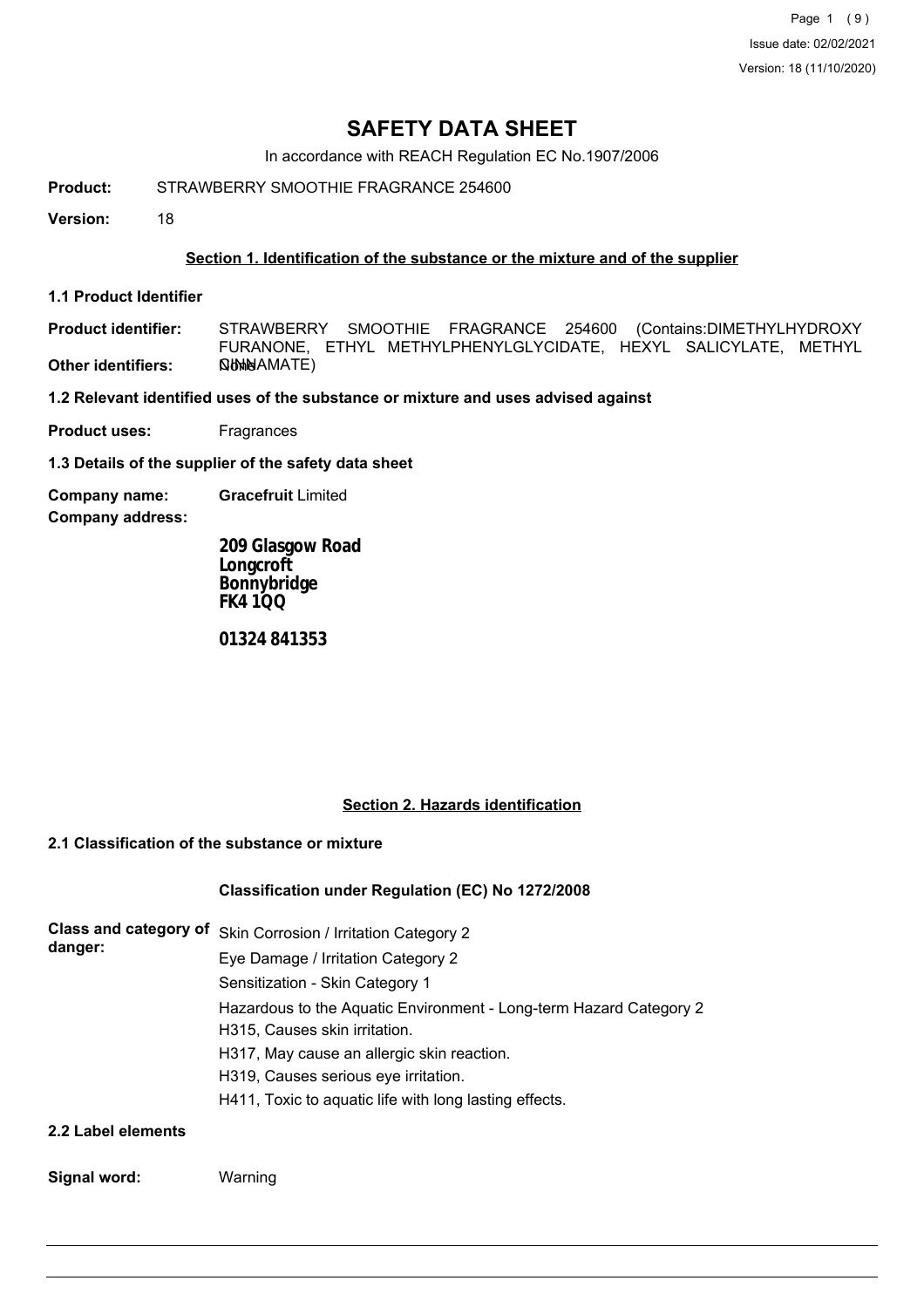Page 1 (9) Issue date: 02/02/2021 Version: 18 (11/10/2020)

# **SAFETY DATA SHEET**

In accordance with REACH Regulation EC No.1907/2006

**Product:** STRAWBERRY SMOOTHIE FRAGRANCE 254600

**Version:** 18

### **Section 1. Identification of the substance or the mixture and of the supplier**

**1.1 Product Identifier**

**Product identifier: Other identifiers:** STRAWBERRY SMOOTHIE FRAGRANCE 254600 (Contains:DIMETHYLHYDROXY FURANONE, ETHYL METHYLPHENYLGLYCIDATE, HEXYL SALICYLATE, METHYL CINNAMATE)

**1.2 Relevant identified uses of the substance or mixture and uses advised against**

**Product uses:** Fragrances

**1.3 Details of the supplier of the safety data sheet**

**Company name: Gracefruit** Limited

**Company address:**

**209 Glasgow Road Longcroft Bonnybridge FK4 1QQ**

**01324 841353**

#### **Section 2. Hazards identification**

# **2.1 Classification of the substance or mixture**

#### **Classification under Regulation (EC) No 1272/2008**

| Class and category of<br>danger: | Skin Corrosion / Irritation Category 2                             |
|----------------------------------|--------------------------------------------------------------------|
|                                  | Eye Damage / Irritation Category 2                                 |
|                                  | Sensitization - Skin Category 1                                    |
|                                  | Hazardous to the Aquatic Environment - Long-term Hazard Category 2 |
|                                  | H315, Causes skin irritation.                                      |
|                                  | H317, May cause an allergic skin reaction.                         |
|                                  | H319, Causes serious eye irritation.                               |
|                                  | H411, Toxic to aquatic life with long lasting effects.             |
| 2.2 Label elements               |                                                                    |

## **Signal word:** Warning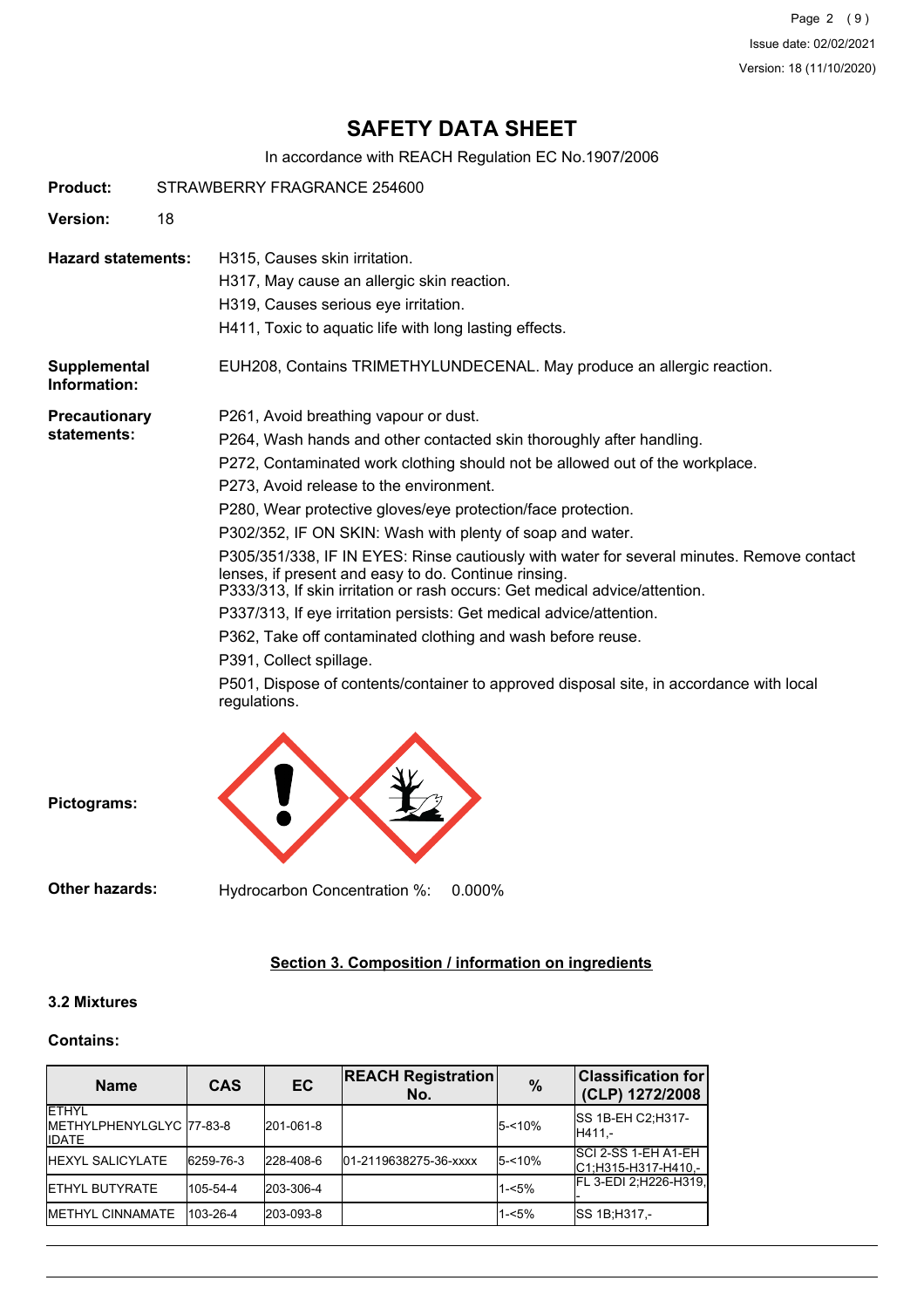Page 2 (9) Issue date: 02/02/2021 Version: 18 (11/10/2020)

# **SAFETY DATA SHEET**

In accordance with REACH Regulation EC No.1907/2006

| Product:                            | STRAWBERRY FRAGRANCE 254600 |                                                                                                                                                                                                                                                                                                                                                                                                                                                                                                                                                                                                                                                                                                                                                                                                                                                                                      |
|-------------------------------------|-----------------------------|--------------------------------------------------------------------------------------------------------------------------------------------------------------------------------------------------------------------------------------------------------------------------------------------------------------------------------------------------------------------------------------------------------------------------------------------------------------------------------------------------------------------------------------------------------------------------------------------------------------------------------------------------------------------------------------------------------------------------------------------------------------------------------------------------------------------------------------------------------------------------------------|
| <b>Version:</b>                     | 18                          |                                                                                                                                                                                                                                                                                                                                                                                                                                                                                                                                                                                                                                                                                                                                                                                                                                                                                      |
| <b>Hazard statements:</b>           |                             | H315, Causes skin irritation.<br>H317, May cause an allergic skin reaction.<br>H319, Causes serious eye irritation.<br>H411, Toxic to aquatic life with long lasting effects.                                                                                                                                                                                                                                                                                                                                                                                                                                                                                                                                                                                                                                                                                                        |
| <b>Supplemental</b><br>Information: |                             | EUH208, Contains TRIMETHYLUNDECENAL. May produce an allergic reaction.                                                                                                                                                                                                                                                                                                                                                                                                                                                                                                                                                                                                                                                                                                                                                                                                               |
| <b>Precautionary</b><br>statements: |                             | P261, Avoid breathing vapour or dust.<br>P264, Wash hands and other contacted skin thoroughly after handling.<br>P272, Contaminated work clothing should not be allowed out of the workplace.<br>P273, Avoid release to the environment.<br>P280, Wear protective gloves/eye protection/face protection.<br>P302/352, IF ON SKIN: Wash with plenty of soap and water.<br>P305/351/338, IF IN EYES: Rinse cautiously with water for several minutes. Remove contact<br>lenses, if present and easy to do. Continue rinsing.<br>P333/313, If skin irritation or rash occurs: Get medical advice/attention.<br>P337/313, If eye irritation persists: Get medical advice/attention.<br>P362, Take off contaminated clothing and wash before reuse.<br>P391, Collect spillage.<br>P501, Dispose of contents/container to approved disposal site, in accordance with local<br>regulations. |

**Pictograms:**

**Other hazards:** Hydrocarbon Concentration %: 0.000%

# **Section 3. Composition / information on ingredients**

## **3.2 Mixtures**

#### **Contains:**

| <b>Name</b>                                                | <b>CAS</b> | EC        | <b>REACH Registration</b><br>No. | $\frac{0}{0}$ | <b>Classification for</b><br>(CLP) 1272/2008 |
|------------------------------------------------------------|------------|-----------|----------------------------------|---------------|----------------------------------------------|
| <b>IETHYL</b><br>METHYLPHENYLGLYC 77-83-8<br><b>IIDATE</b> |            | 201-061-8 |                                  | 5-<10%        | <b>ISS 1B-EH C2:H317-</b><br>H411 -          |
| <b>IHEXYL SALICYLATE</b>                                   | 6259-76-3  | 228-408-6 | 01-2119638275-36-xxxx            | 5-<10%        | ISCI 2-SS 1-EH A1-EH<br>C1:H315-H317-H410,-  |
| <b>IETHYL BUTYRATE</b>                                     | 105-54-4   | 203-306-4 |                                  | $1 - 5%$      | FL 3-EDI 2; H226-H319,                       |
| <b>IMETHYL CINNAMATE</b>                                   | 103-26-4   | 203-093-8 |                                  | $1 - 5%$      | SS 1B: H317,-                                |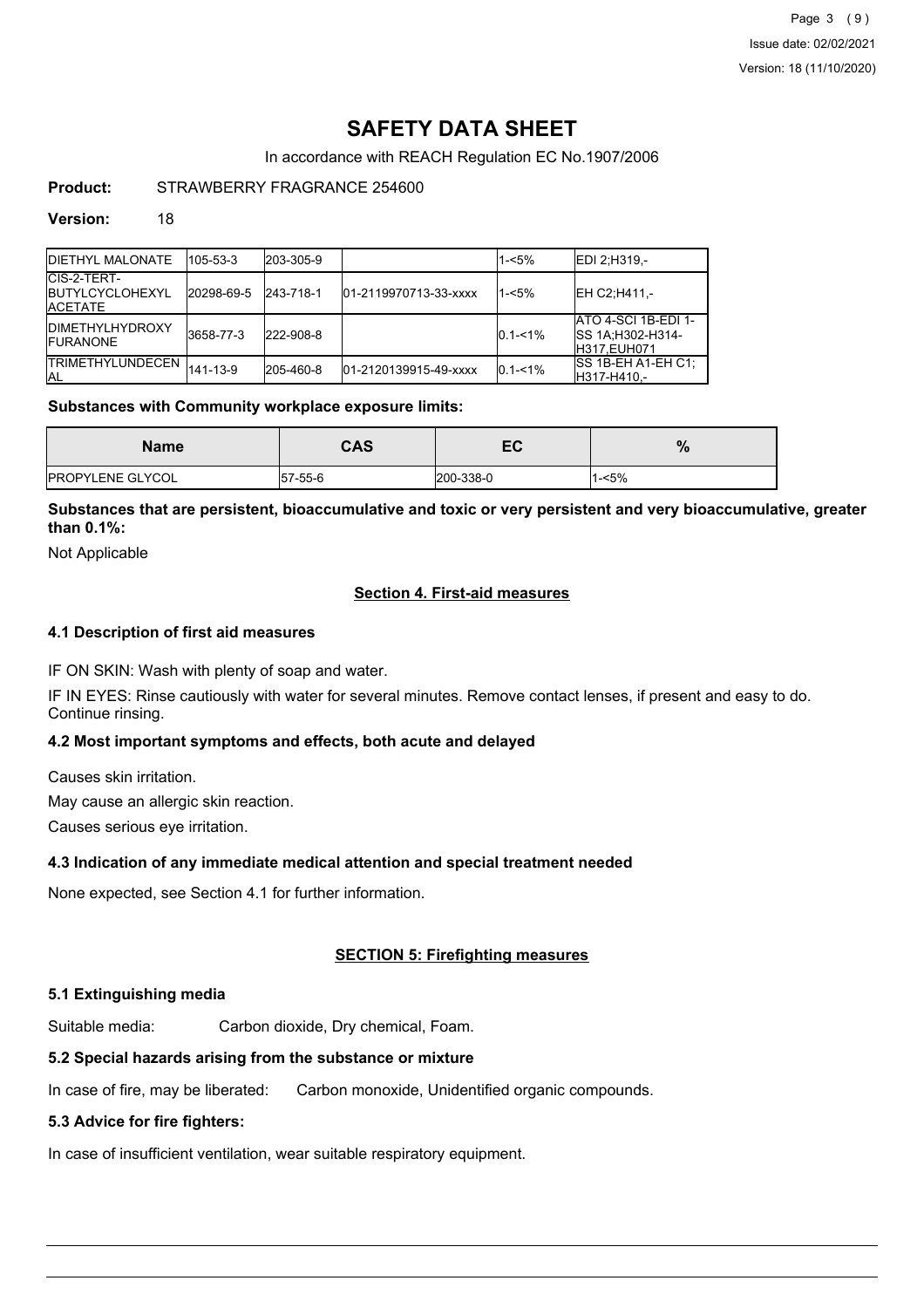# **SAFETY DATA SHEET**

In accordance with REACH Regulation EC No.1907/2006

# **Product:** STRAWBERRY FRAGRANCE 254600

#### **Version:** 18

| <b>IDIETHYL MALONATE</b>                                  | 105-53-3   | 203-305-9 |                       | 1-<5%       | <b>IEDI 2:H319.-</b>                                                  |
|-----------------------------------------------------------|------------|-----------|-----------------------|-------------|-----------------------------------------------------------------------|
| CIS-2-TERT-<br><b>IBUTYLCYCLOHEXYL</b><br><b>IACETATE</b> | 20298-69-5 | 243-718-1 | 01-2119970713-33-xxxx | 1-<5%       | <b>IEH C2:H411 -</b>                                                  |
| <b>IDIMETHYLHYDROXY</b><br><b>IFURANONE</b>               | 3658-77-3  | 222-908-8 |                       | $0.1 - 1\%$ | ATO 4-SCI 1B-EDI 1-<br><b>SS 1A: H302-H314-</b><br><b>H317.EUH071</b> |
| <b>ITRIMETHYLUNDECEN</b><br>IAL                           | 141-13-9   | 205-460-8 | 01-2120139915-49-xxxx | $0.1 - 1\%$ | ISS 1B-EH A1-EH C1:<br>H317-H410,-                                    |

#### **Substances with Community workplace exposure limits:**

| <b>Name</b>             | <b>CAS</b> | EC        | %        |
|-------------------------|------------|-----------|----------|
| <b>PROPYLENE GLYCOL</b> | 57-55-6    | 200-338-0 | $1 - 5%$ |

## **Substances that are persistent, bioaccumulative and toxic or very persistent and very bioaccumulative, greater than 0.1%:**

Not Applicable

### **Section 4. First-aid measures**

#### **4.1 Description of first aid measures**

IF ON SKIN: Wash with plenty of soap and water.

IF IN EYES: Rinse cautiously with water for several minutes. Remove contact lenses, if present and easy to do. Continue rinsing.

#### **4.2 Most important symptoms and effects, both acute and delayed**

Causes skin irritation.

May cause an allergic skin reaction.

Causes serious eye irritation.

#### **4.3 Indication of any immediate medical attention and special treatment needed**

None expected, see Section 4.1 for further information.

### **SECTION 5: Firefighting measures**

#### **5.1 Extinguishing media**

Suitable media: Carbon dioxide, Dry chemical, Foam.

# **5.2 Special hazards arising from the substance or mixture**

In case of fire, may be liberated: Carbon monoxide, Unidentified organic compounds.

# **5.3 Advice for fire fighters:**

In case of insufficient ventilation, wear suitable respiratory equipment.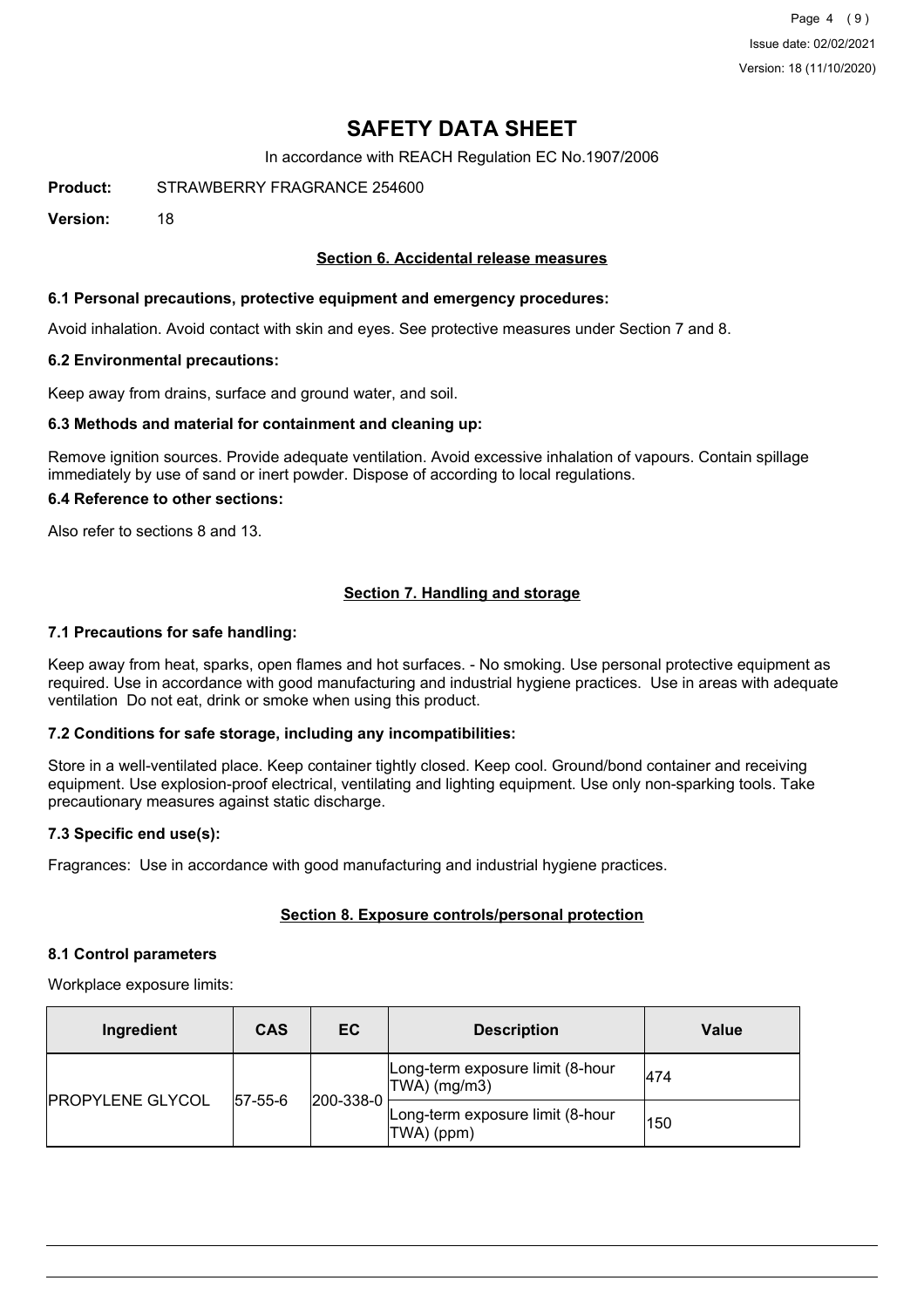Page 4 (9) Issue date: 02/02/2021 Version: 18 (11/10/2020)

# **SAFETY DATA SHEET**

In accordance with REACH Regulation EC No.1907/2006

**Product:** STRAWBERRY FRAGRANCE 254600

**Version:** 18

#### **Section 6. Accidental release measures**

#### **6.1 Personal precautions, protective equipment and emergency procedures:**

Avoid inhalation. Avoid contact with skin and eyes. See protective measures under Section 7 and 8.

#### **6.2 Environmental precautions:**

Keep away from drains, surface and ground water, and soil.

#### **6.3 Methods and material for containment and cleaning up:**

Remove ignition sources. Provide adequate ventilation. Avoid excessive inhalation of vapours. Contain spillage immediately by use of sand or inert powder. Dispose of according to local regulations.

#### **6.4 Reference to other sections:**

Also refer to sections 8 and 13.

#### **Section 7. Handling and storage**

#### **7.1 Precautions for safe handling:**

Keep away from heat, sparks, open flames and hot surfaces. - No smoking. Use personal protective equipment as required. Use in accordance with good manufacturing and industrial hygiene practices. Use in areas with adequate ventilation Do not eat, drink or smoke when using this product.

#### **7.2 Conditions for safe storage, including any incompatibilities:**

Store in a well-ventilated place. Keep container tightly closed. Keep cool. Ground/bond container and receiving equipment. Use explosion-proof electrical, ventilating and lighting equipment. Use only non-sparking tools. Take precautionary measures against static discharge.

#### **7.3 Specific end use(s):**

Fragrances: Use in accordance with good manufacturing and industrial hygiene practices.

#### **Section 8. Exposure controls/personal protection**

#### **8.1 Control parameters**

Workplace exposure limits:

| Ingredient              | <b>CAS</b>  | EC        | <b>Description</b>                                 | Value |
|-------------------------|-------------|-----------|----------------------------------------------------|-------|
| <b>PROPYLENE GLYCOL</b> | $ 57-55-6 $ | 200-338-0 | Long-term exposure limit (8-hour<br>$TWA)$ (mg/m3) | 474   |
|                         |             |           | Long-term exposure limit (8-hour<br>TWA) (ppm)     | 150   |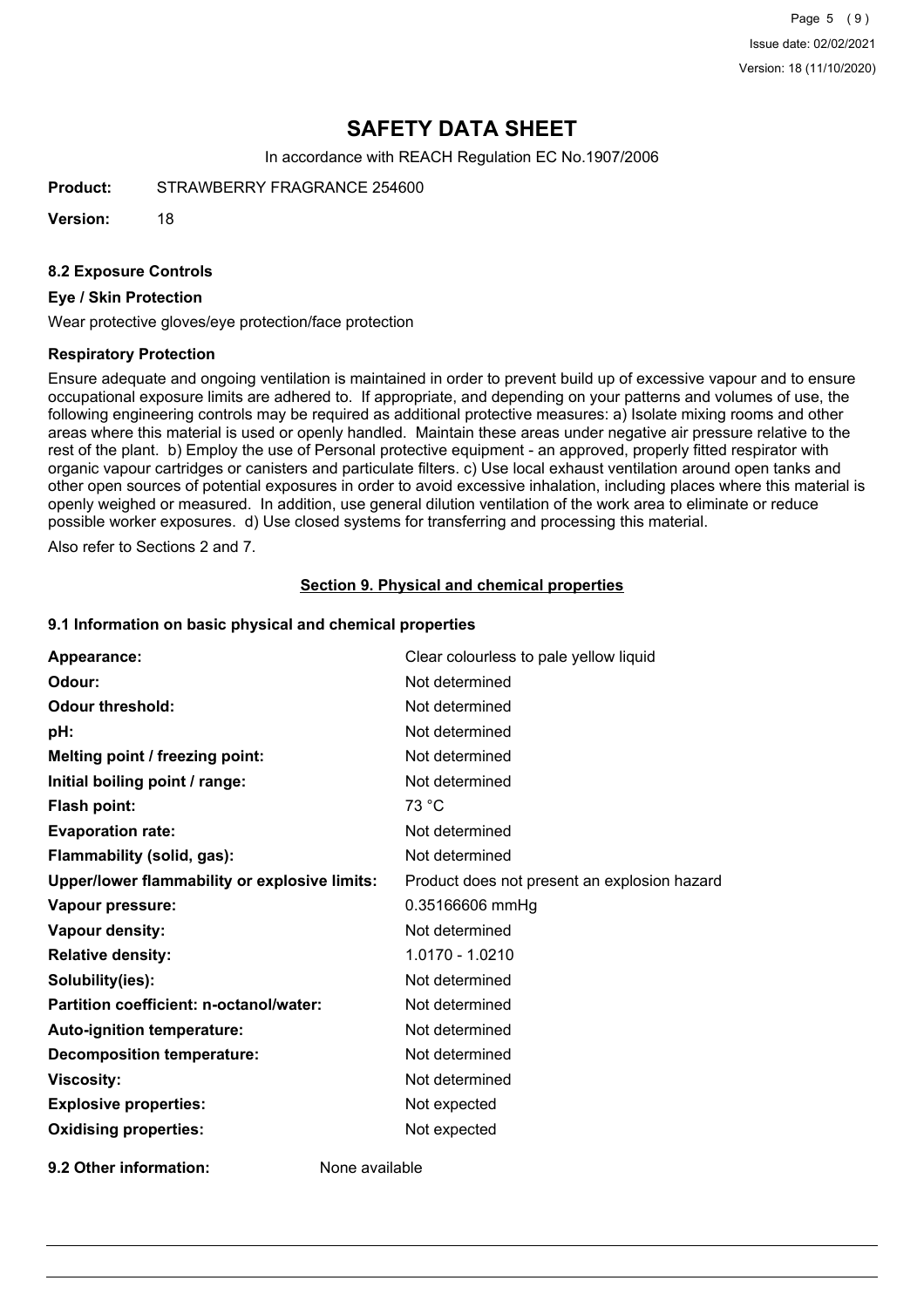Page 5 (9) Issue date: 02/02/2021 Version: 18 (11/10/2020)

# **SAFETY DATA SHEET**

In accordance with REACH Regulation EC No.1907/2006

**Product:** STRAWBERRY FRAGRANCE 254600

**Version:** 18

#### **8.2 Exposure Controls**

#### **Eye / Skin Protection**

Wear protective gloves/eye protection/face protection

#### **Respiratory Protection**

Ensure adequate and ongoing ventilation is maintained in order to prevent build up of excessive vapour and to ensure occupational exposure limits are adhered to. If appropriate, and depending on your patterns and volumes of use, the following engineering controls may be required as additional protective measures: a) Isolate mixing rooms and other areas where this material is used or openly handled. Maintain these areas under negative air pressure relative to the rest of the plant. b) Employ the use of Personal protective equipment - an approved, properly fitted respirator with organic vapour cartridges or canisters and particulate filters. c) Use local exhaust ventilation around open tanks and other open sources of potential exposures in order to avoid excessive inhalation, including places where this material is openly weighed or measured. In addition, use general dilution ventilation of the work area to eliminate or reduce possible worker exposures. d) Use closed systems for transferring and processing this material.

Also refer to Sections 2 and 7.

#### **Section 9. Physical and chemical properties**

#### **9.1 Information on basic physical and chemical properties**

| Appearance:                                          | Clear colourless to pale yellow liquid       |
|------------------------------------------------------|----------------------------------------------|
| Odour:                                               | Not determined                               |
| <b>Odour threshold:</b>                              | Not determined                               |
| pH:                                                  | Not determined                               |
| Melting point / freezing point:                      | Not determined                               |
| Initial boiling point / range:                       | Not determined                               |
| <b>Flash point:</b>                                  | 73 °C                                        |
| <b>Evaporation rate:</b>                             | Not determined                               |
| Flammability (solid, gas):                           | Not determined                               |
| <b>Upper/lower flammability or explosive limits:</b> | Product does not present an explosion hazard |
| Vapour pressure:                                     | 0.35166606 mmHg                              |
| <b>Vapour density:</b>                               | Not determined                               |
| <b>Relative density:</b>                             | 1.0170 - 1.0210                              |
| Solubility(ies):                                     | Not determined                               |
| Partition coefficient: n-octanol/water:              | Not determined                               |
| Auto-ignition temperature:                           | Not determined                               |
| <b>Decomposition temperature:</b>                    | Not determined                               |
| <b>Viscosity:</b>                                    | Not determined                               |
| <b>Explosive properties:</b>                         | Not expected                                 |
| <b>Oxidising properties:</b>                         | Not expected                                 |
|                                                      |                                              |

**9.2 Other information:** None available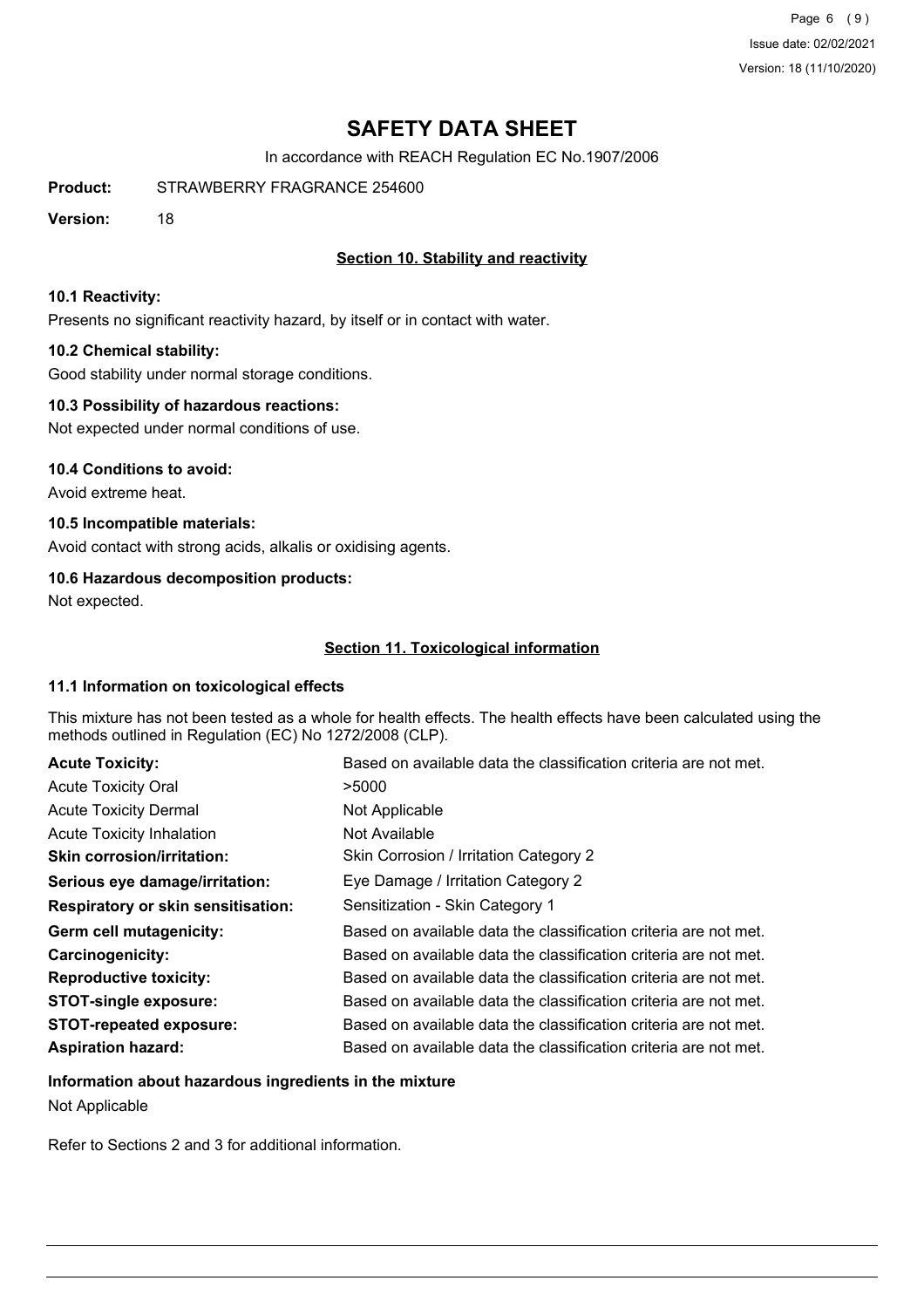Page 6 (9) Issue date: 02/02/2021 Version: 18 (11/10/2020)

# **SAFETY DATA SHEET**

In accordance with REACH Regulation EC No.1907/2006

**Product:** STRAWBERRY FRAGRANCE 254600

**Version:** 18

## **Section 10. Stability and reactivity**

#### **10.1 Reactivity:**

Presents no significant reactivity hazard, by itself or in contact with water.

#### **10.2 Chemical stability:**

Good stability under normal storage conditions.

#### **10.3 Possibility of hazardous reactions:**

Not expected under normal conditions of use.

#### **10.4 Conditions to avoid:**

Avoid extreme heat.

### **10.5 Incompatible materials:**

Avoid contact with strong acids, alkalis or oxidising agents.

### **10.6 Hazardous decomposition products:**

Not expected.

### **Section 11. Toxicological information**

#### **11.1 Information on toxicological effects**

This mixture has not been tested as a whole for health effects. The health effects have been calculated using the methods outlined in Regulation (EC) No 1272/2008 (CLP).

| <b>Acute Toxicity:</b>                    | Based on available data the classification criteria are not met. |
|-------------------------------------------|------------------------------------------------------------------|
| <b>Acute Toxicity Oral</b>                | >5000                                                            |
| <b>Acute Toxicity Dermal</b>              | Not Applicable                                                   |
| <b>Acute Toxicity Inhalation</b>          | Not Available                                                    |
| <b>Skin corrosion/irritation:</b>         | Skin Corrosion / Irritation Category 2                           |
| Serious eye damage/irritation:            | Eye Damage / Irritation Category 2                               |
| <b>Respiratory or skin sensitisation:</b> | Sensitization - Skin Category 1                                  |
| Germ cell mutagenicity:                   | Based on available data the classification criteria are not met. |
| Carcinogenicity:                          | Based on available data the classification criteria are not met. |
| <b>Reproductive toxicity:</b>             | Based on available data the classification criteria are not met. |
| <b>STOT-single exposure:</b>              | Based on available data the classification criteria are not met. |
| <b>STOT-repeated exposure:</b>            | Based on available data the classification criteria are not met. |
| <b>Aspiration hazard:</b>                 | Based on available data the classification criteria are not met. |

# **Information about hazardous ingredients in the mixture**

Not Applicable

Refer to Sections 2 and 3 for additional information.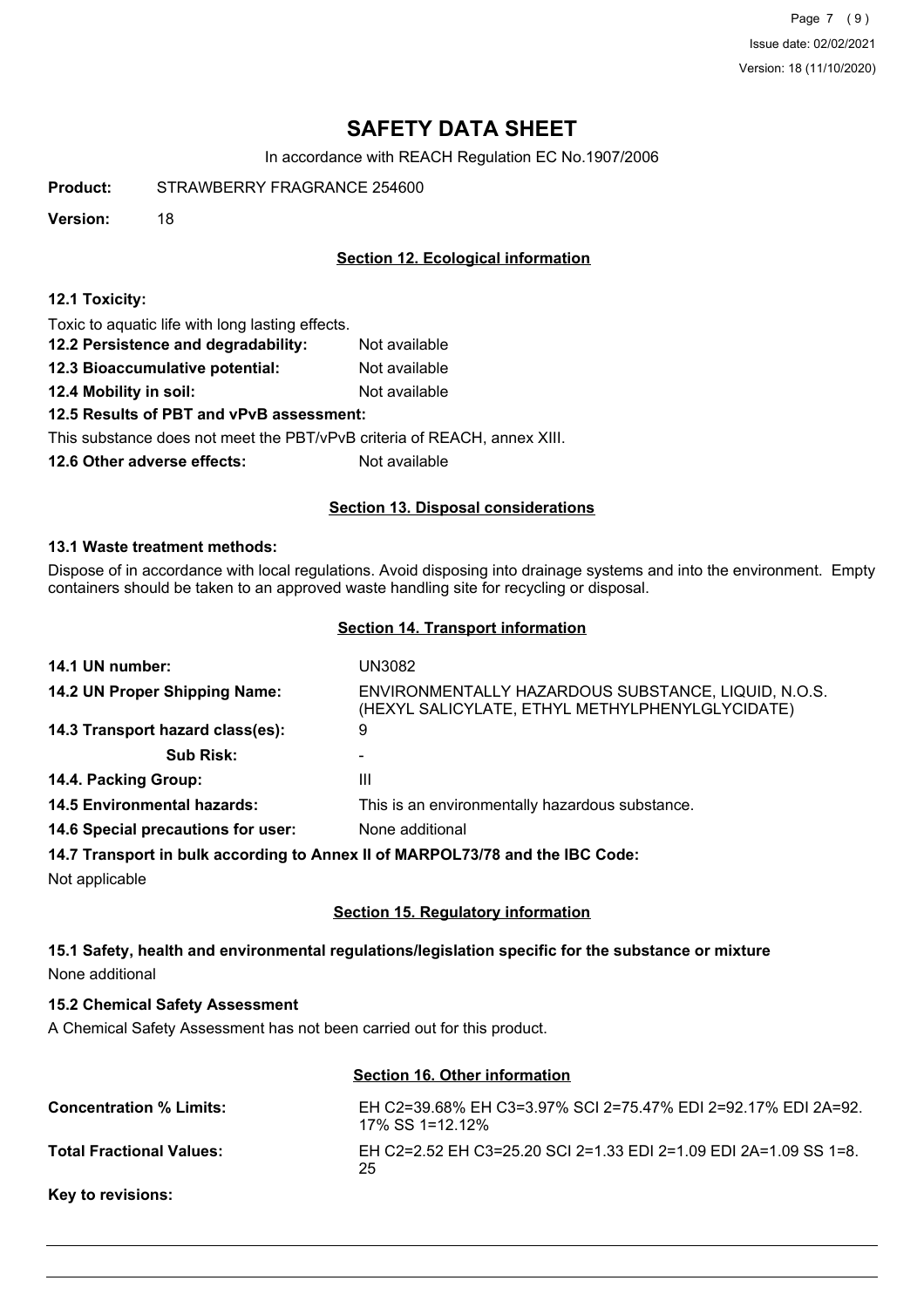Page 7 (9) Issue date: 02/02/2021 Version: 18 (11/10/2020)

# **SAFETY DATA SHEET**

In accordance with REACH Regulation EC No.1907/2006

**Product:** STRAWBERRY FRAGRANCE 254600

**Version:** 18

## **Section 12. Ecological information**

#### **12.1 Toxicity:**

Toxic to aquatic life with long lasting effects.

- **12.2 Persistence and degradability:** Not available
- **12.3 Bioaccumulative potential:** Not available
- **12.4 Mobility in soil:** Not available

#### **12.5 Results of PBT and vPvB assessment:**

This substance does not meet the PBT/vPvB criteria of REACH, annex XIII.

**12.6 Other adverse effects:** Not available

### **Section 13. Disposal considerations**

#### **13.1 Waste treatment methods:**

Dispose of in accordance with local regulations. Avoid disposing into drainage systems and into the environment. Empty containers should be taken to an approved waste handling site for recycling or disposal.

#### **Section 14. Transport information**

| 14.1 UN number:                                                               | UN3082                                                                                                 |
|-------------------------------------------------------------------------------|--------------------------------------------------------------------------------------------------------|
| 14.2 UN Proper Shipping Name:                                                 | ENVIRONMENTALLY HAZARDOUS SUBSTANCE, LIQUID, N.O.S.<br>(HEXYL SALICYLATE, ETHYL METHYLPHENYLGLYCIDATE) |
| 14.3 Transport hazard class(es):                                              | 9                                                                                                      |
| <b>Sub Risk:</b>                                                              |                                                                                                        |
| 14.4. Packing Group:                                                          | Ш                                                                                                      |
| <b>14.5 Environmental hazards:</b>                                            | This is an environmentally hazardous substance.                                                        |
| 14.6 Special precautions for user:                                            | None additional                                                                                        |
| 14.7 Transport in bulk according to Annex II of MARPOL73/78 and the IBC Code: |                                                                                                        |

Not applicable

### **Section 15. Regulatory information**

## **15.1 Safety, health and environmental regulations/legislation specific for the substance or mixture** None additional

#### **15.2 Chemical Safety Assessment**

A Chemical Safety Assessment has not been carried out for this product.

# **Section 16. Other information**

| <b>Concentration % Limits:</b>  | EH C2=39.68% EH C3=3.97% SCI 2=75.47% EDI 2=92.17% EDI 2A=92.<br>17% SS 1=12.12% |
|---------------------------------|----------------------------------------------------------------------------------|
| <b>Total Fractional Values:</b> | EH C2=2.52 EH C3=25.20 SCI 2=1.33 EDI 2=1.09 EDI 2A=1.09 SS 1=8.<br>25           |
| <b>Key to revisions:</b>        |                                                                                  |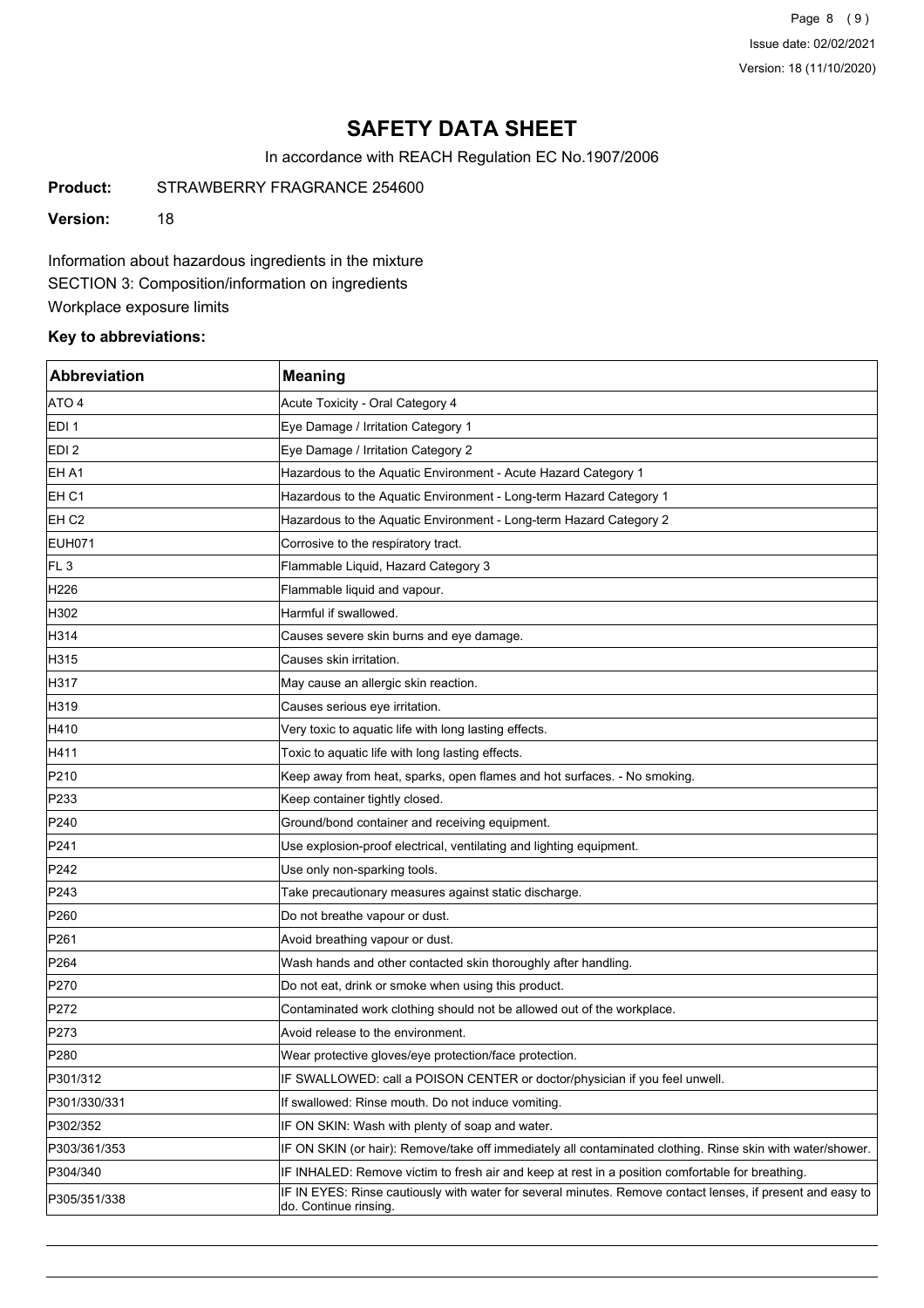Page 8 (9) Issue date: 02/02/2021 Version: 18 (11/10/2020)

# **SAFETY DATA SHEET**

In accordance with REACH Regulation EC No.1907/2006

**Product:** STRAWBERRY FRAGRANCE 254600

**Version:** 18

Information about hazardous ingredients in the mixture SECTION 3: Composition/information on ingredients Workplace exposure limits

### **Key to abbreviations:**

| <b>Abbreviation</b> | <b>Meaning</b>                                                                                                                      |
|---------------------|-------------------------------------------------------------------------------------------------------------------------------------|
| ATO 4               | Acute Toxicity - Oral Category 4                                                                                                    |
| EDI <sub>1</sub>    | Eye Damage / Irritation Category 1                                                                                                  |
| EDI <sub>2</sub>    | Eye Damage / Irritation Category 2                                                                                                  |
| EH A1               | Hazardous to the Aquatic Environment - Acute Hazard Category 1                                                                      |
| EH <sub>C1</sub>    | Hazardous to the Aquatic Environment - Long-term Hazard Category 1                                                                  |
| EH C <sub>2</sub>   | Hazardous to the Aquatic Environment - Long-term Hazard Category 2                                                                  |
| EUH071              | Corrosive to the respiratory tract.                                                                                                 |
| FL <sub>3</sub>     | Flammable Liquid, Hazard Category 3                                                                                                 |
| H226                | Flammable liquid and vapour.                                                                                                        |
| H302                | Harmful if swallowed.                                                                                                               |
| H314                | Causes severe skin burns and eye damage.                                                                                            |
| H315                | Causes skin irritation.                                                                                                             |
| H317                | May cause an allergic skin reaction.                                                                                                |
| H319                | Causes serious eye irritation.                                                                                                      |
| H410                | Very toxic to aquatic life with long lasting effects.                                                                               |
| H411                | Toxic to aquatic life with long lasting effects.                                                                                    |
| P210                | Keep away from heat, sparks, open flames and hot surfaces. - No smoking.                                                            |
| P233                | Keep container tightly closed.                                                                                                      |
| P240                | Ground/bond container and receiving equipment.                                                                                      |
| P241                | Use explosion-proof electrical, ventilating and lighting equipment.                                                                 |
| P242                | Use only non-sparking tools.                                                                                                        |
| P243                | Take precautionary measures against static discharge.                                                                               |
| P <sub>260</sub>    | Do not breathe vapour or dust.                                                                                                      |
| P261                | Avoid breathing vapour or dust.                                                                                                     |
| P <sub>264</sub>    | Wash hands and other contacted skin thoroughly after handling.                                                                      |
| P270                | Do not eat, drink or smoke when using this product.                                                                                 |
| P272                | Contaminated work clothing should not be allowed out of the workplace.                                                              |
| P273                | Avoid release to the environment.                                                                                                   |
| P <sub>280</sub>    | Wear protective gloves/eye protection/face protection                                                                               |
| P301/312            | IF SWALLOWED: call a POISON CENTER or doctor/physician if you feel unwell.                                                          |
| P301/330/331        | If swallowed: Rinse mouth. Do not induce vomiting.                                                                                  |
| P302/352            | IF ON SKIN: Wash with plenty of soap and water.                                                                                     |
| P303/361/353        | IF ON SKIN (or hair): Remove/take off immediately all contaminated clothing. Rinse skin with water/shower.                          |
| P304/340            | IF INHALED: Remove victim to fresh air and keep at rest in a position comfortable for breathing.                                    |
| P305/351/338        | IF IN EYES: Rinse cautiously with water for several minutes. Remove contact lenses, if present and easy to<br>do. Continue rinsing. |